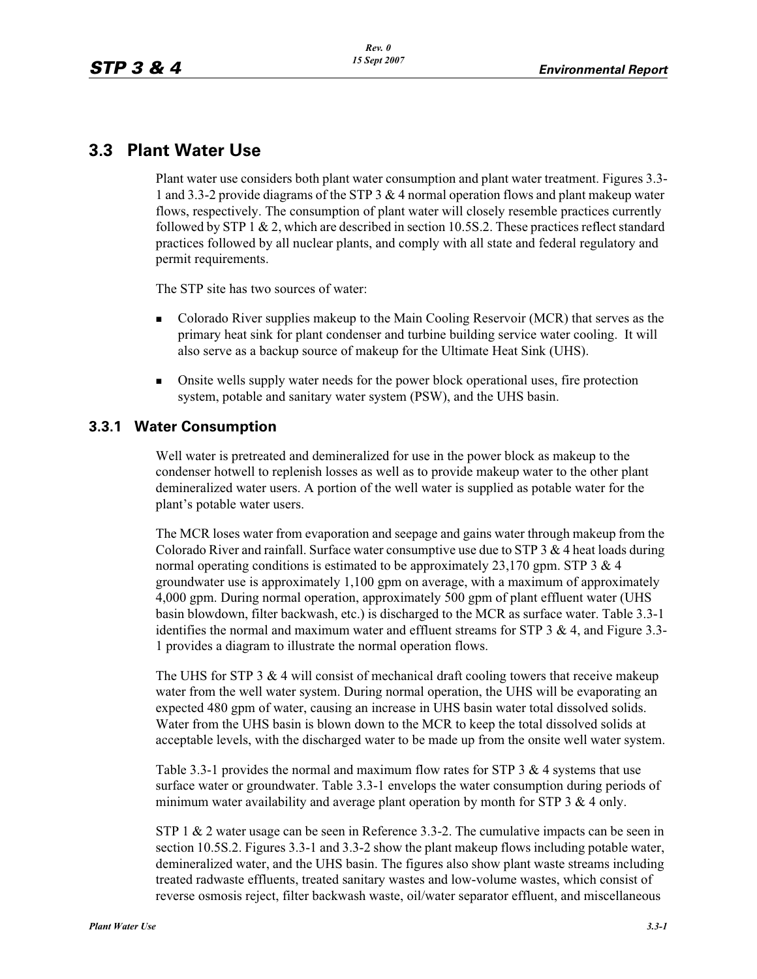# **3.3 Plant Water Use**

Plant water use considers both plant water consumption and plant water treatment. Figures 3.3- 1 and 3.3-2 provide diagrams of the STP 3 & 4 normal operation flows and plant makeup water flows, respectively. The consumption of plant water will closely resemble practices currently followed by STP 1  $\&$  2, which are described in section 10.5S.2. These practices reflect standard practices followed by all nuclear plants, and comply with all state and federal regulatory and permit requirements.

The STP site has two sources of water:

- - Colorado River supplies makeup to the Main Cooling Reservoir (MCR) that serves as the primary heat sink for plant condenser and turbine building service water cooling. It will also serve as a backup source of makeup for the Ultimate Heat Sink (UHS).
- - Onsite wells supply water needs for the power block operational uses, fire protection system, potable and sanitary water system (PSW), and the UHS basin.

## **3.3.1 Water Consumption**

Well water is pretreated and demineralized for use in the power block as makeup to the condenser hotwell to replenish losses as well as to provide makeup water to the other plant demineralized water users. A portion of the well water is supplied as potable water for the plant's potable water users.

The MCR loses water from evaporation and seepage and gains water through makeup from the Colorado River and rainfall. Surface water consumptive use due to  $STP 3 \& 4$  heat loads during normal operating conditions is estimated to be approximately 23,170 gpm. STP 3  $\&$  4 groundwater use is approximately 1,100 gpm on average, with a maximum of approximately 4,000 gpm. During normal operation, approximately 500 gpm of plant effluent water (UHS basin blowdown, filter backwash, etc.) is discharged to the MCR as surface water. Table 3.3-1 identifies the normal and maximum water and effluent streams for STP  $3 \& 4$ , and Figure 3.3-1 provides a diagram to illustrate the normal operation flows.

The UHS for STP 3  $&$  4 will consist of mechanical draft cooling towers that receive makeup water from the well water system. During normal operation, the UHS will be evaporating an expected 480 gpm of water, causing an increase in UHS basin water total dissolved solids. Water from the UHS basin is blown down to the MCR to keep the total dissolved solids at acceptable levels, with the discharged water to be made up from the onsite well water system.

Table 3.3-1 provides the normal and maximum flow rates for STP 3  $\&$  4 systems that use surface water or groundwater. Table 3.3-1 envelops the water consumption during periods of minimum water availability and average plant operation by month for STP 3  $\&$  4 only.

STP 1 & 2 water usage can be seen in Reference 3.3-2. The cumulative impacts can be seen in section 10.5S.2. Figures 3.3-1 and 3.3-2 show the plant makeup flows including potable water, demineralized water, and the UHS basin. The figures also show plant waste streams including treated radwaste effluents, treated sanitary wastes and low-volume wastes, which consist of reverse osmosis reject, filter backwash waste, oil/water separator effluent, and miscellaneous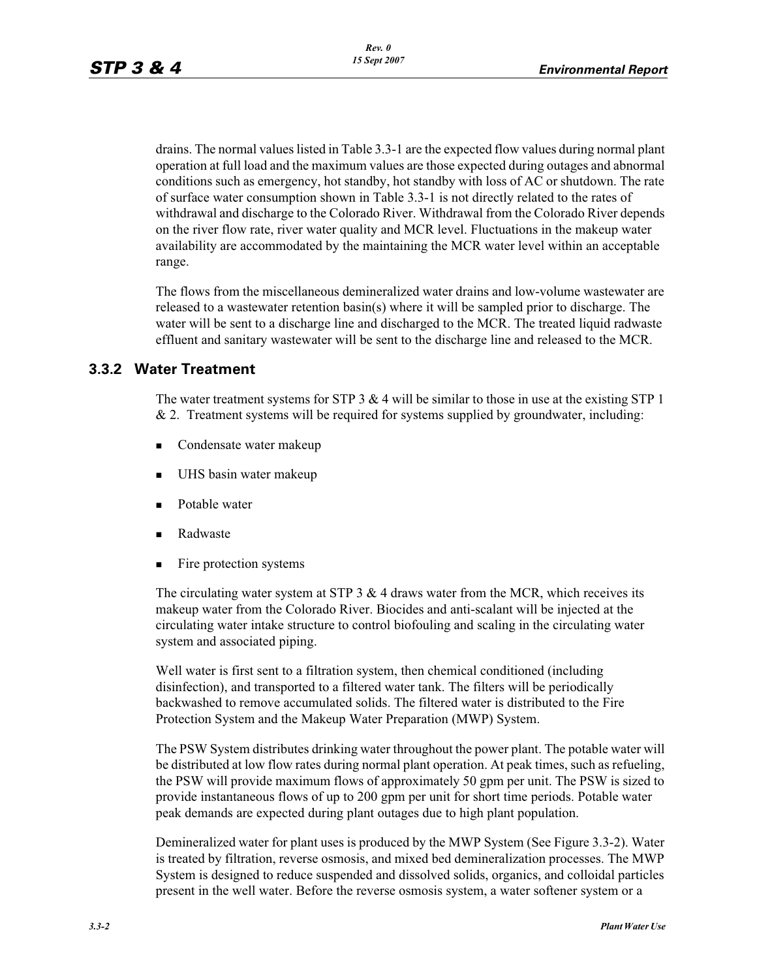drains. The normal values listed in Table 3.3-1 are the expected flow values during normal plant operation at full load and the maximum values are those expected during outages and abnormal conditions such as emergency, hot standby, hot standby with loss of AC or shutdown. The rate of surface water consumption shown in Table 3.3-1 is not directly related to the rates of withdrawal and discharge to the Colorado River. Withdrawal from the Colorado River depends on the river flow rate, river water quality and MCR level. Fluctuations in the makeup water availability are accommodated by the maintaining the MCR water level within an acceptable range.

The flows from the miscellaneous demineralized water drains and low-volume wastewater are released to a wastewater retention basin(s) where it will be sampled prior to discharge. The water will be sent to a discharge line and discharged to the MCR. The treated liquid radwaste effluent and sanitary wastewater will be sent to the discharge line and released to the MCR.

## **3.3.2 Water Treatment**

The water treatment systems for STP  $3 \& 4$  will be similar to those in use at the existing STP 1  $& 2.$  Treatment systems will be required for systems supplied by groundwater, including:

- **EXECONDERATE:** Condensate water makeup
- -UHS basin water makeup
- -Potable water
- -Radwaste
- -Fire protection systems

The circulating water system at STP  $3 \& 4$  draws water from the MCR, which receives its makeup water from the Colorado River. Biocides and anti-scalant will be injected at the circulating water intake structure to control biofouling and scaling in the circulating water system and associated piping.

Well water is first sent to a filtration system, then chemical conditioned (including disinfection), and transported to a filtered water tank. The filters will be periodically backwashed to remove accumulated solids. The filtered water is distributed to the Fire Protection System and the Makeup Water Preparation (MWP) System.

The PSW System distributes drinking water throughout the power plant. The potable water will be distributed at low flow rates during normal plant operation. At peak times, such as refueling, the PSW will provide maximum flows of approximately 50 gpm per unit. The PSW is sized to provide instantaneous flows of up to 200 gpm per unit for short time periods. Potable water peak demands are expected during plant outages due to high plant population.

Demineralized water for plant uses is produced by the MWP System (See Figure 3.3-2). Water is treated by filtration, reverse osmosis, and mixed bed demineralization processes. The MWP System is designed to reduce suspended and dissolved solids, organics, and colloidal particles present in the well water. Before the reverse osmosis system, a water softener system or a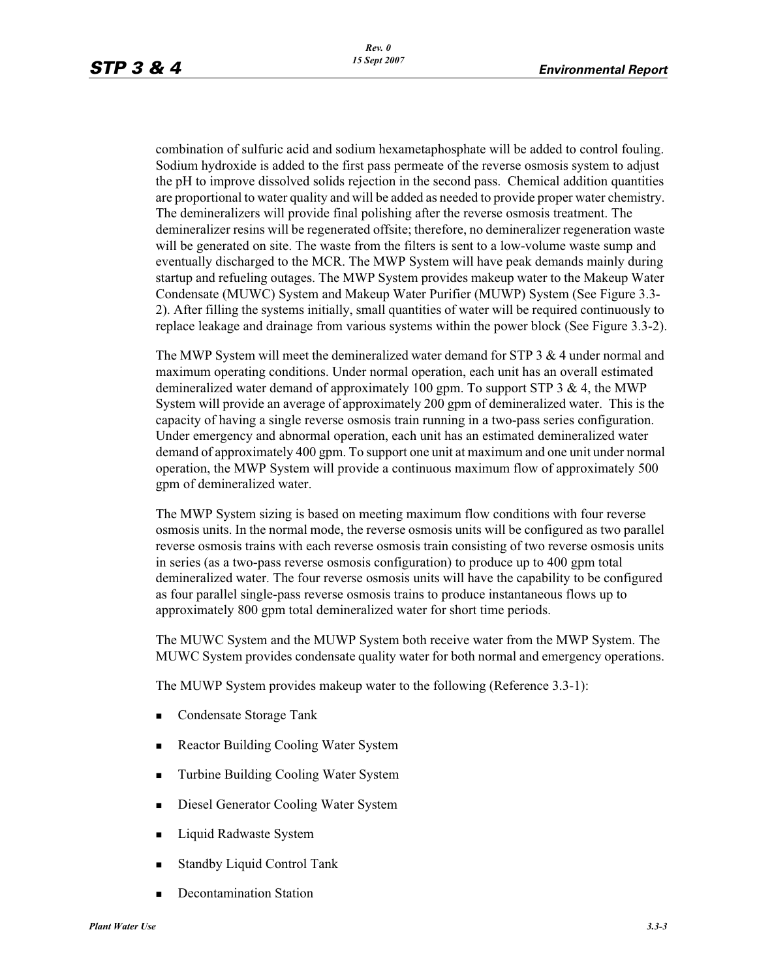combination of sulfuric acid and sodium hexametaphosphate will be added to control fouling. Sodium hydroxide is added to the first pass permeate of the reverse osmosis system to adjust the pH to improve dissolved solids rejection in the second pass. Chemical addition quantities are proportional to water quality and will be added as needed to provide proper water chemistry. The demineralizers will provide final polishing after the reverse osmosis treatment. The demineralizer resins will be regenerated offsite; therefore, no demineralizer regeneration waste will be generated on site. The waste from the filters is sent to a low-volume waste sump and eventually discharged to the MCR. The MWP System will have peak demands mainly during startup and refueling outages. The MWP System provides makeup water to the Makeup Water Condensate (MUWC) System and Makeup Water Purifier (MUWP) System (See Figure 3.3- 2). After filling the systems initially, small quantities of water will be required continuously to replace leakage and drainage from various systems within the power block (See Figure 3.3-2).

The MWP System will meet the demineralized water demand for STP 3 & 4 under normal and maximum operating conditions. Under normal operation, each unit has an overall estimated demineralized water demand of approximately 100 gpm. To support STP 3  $\&$  4, the MWP System will provide an average of approximately 200 gpm of demineralized water. This is the capacity of having a single reverse osmosis train running in a two-pass series configuration. Under emergency and abnormal operation, each unit has an estimated demineralized water demand of approximately 400 gpm. To support one unit at maximum and one unit under normal operation, the MWP System will provide a continuous maximum flow of approximately 500 gpm of demineralized water.

The MWP System sizing is based on meeting maximum flow conditions with four reverse osmosis units. In the normal mode, the reverse osmosis units will be configured as two parallel reverse osmosis trains with each reverse osmosis train consisting of two reverse osmosis units in series (as a two-pass reverse osmosis configuration) to produce up to 400 gpm total demineralized water. The four reverse osmosis units will have the capability to be configured as four parallel single-pass reverse osmosis trains to produce instantaneous flows up to approximately 800 gpm total demineralized water for short time periods.

The MUWC System and the MUWP System both receive water from the MWP System. The MUWC System provides condensate quality water for both normal and emergency operations.

The MUWP System provides makeup water to the following (Reference 3.3-1):

- -Condensate Storage Tank
- -Reactor Building Cooling Water System
- -Turbine Building Cooling Water System
- -Diesel Generator Cooling Water System
- -Liquid Radwaste System
- -Standby Liquid Control Tank
- -Decontamination Station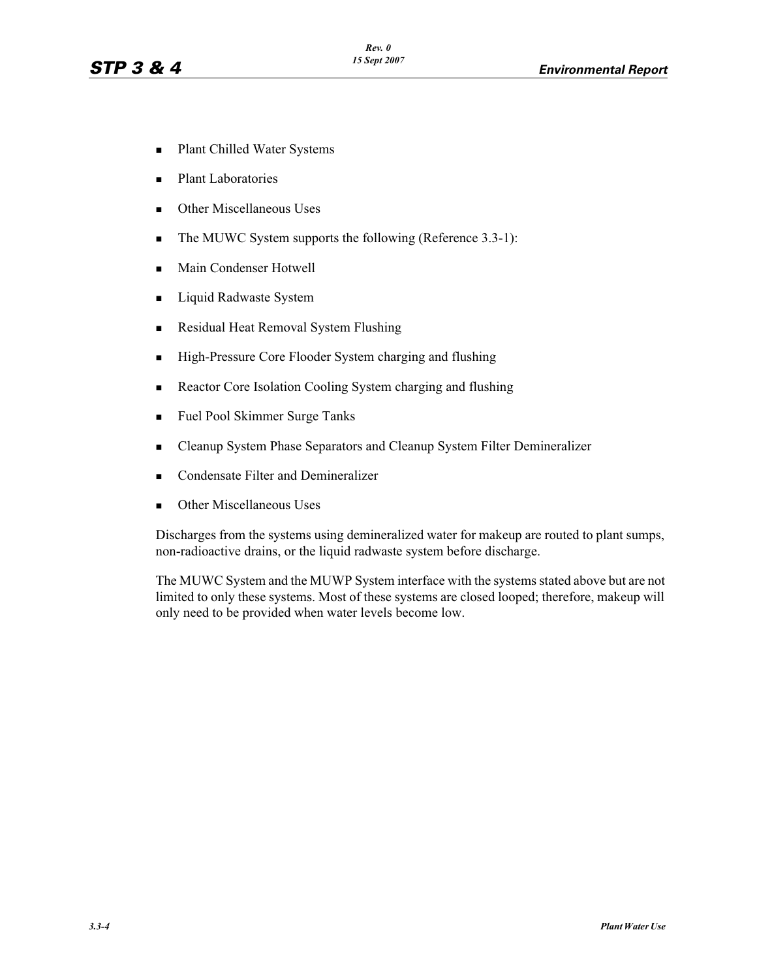- -Plant Chilled Water Systems
- -Plant Laboratories
- -Other Miscellaneous Uses
- -The MUWC System supports the following (Reference 3.3-1):
- -Main Condenser Hotwell
- -Liquid Radwaste System
- -Residual Heat Removal System Flushing
- -High-Pressure Core Flooder System charging and flushing
- -Reactor Core Isolation Cooling System charging and flushing
- -Fuel Pool Skimmer Surge Tanks
- -Cleanup System Phase Separators and Cleanup System Filter Demineralizer
- -Condensate Filter and Demineralizer
- -Other Miscellaneous Uses

Discharges from the systems using demineralized water for makeup are routed to plant sumps, non-radioactive drains, or the liquid radwaste system before discharge.

The MUWC System and the MUWP System interface with the systems stated above but are not limited to only these systems. Most of these systems are closed looped; therefore, makeup will only need to be provided when water levels become low.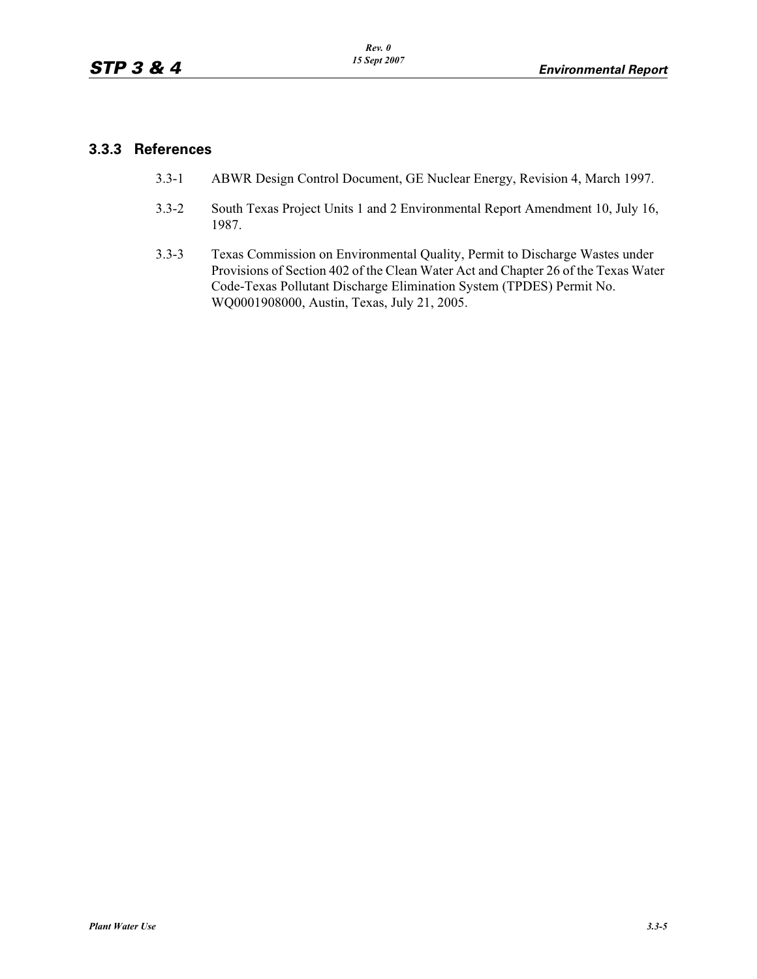### **3.3.3 References**

- 3.3-1 ABWR Design Control Document, GE Nuclear Energy, Revision 4, March 1997.
- 3.3-2 South Texas Project Units 1 and 2 Environmental Report Amendment 10, July 16, 1987.
- 3.3-3 Texas Commission on Environmental Quality, Permit to Discharge Wastes under Provisions of Section 402 of the Clean Water Act and Chapter 26 of the Texas Water Code-Texas Pollutant Discharge Elimination System (TPDES) Permit No. WQ0001908000, Austin, Texas, July 21, 2005.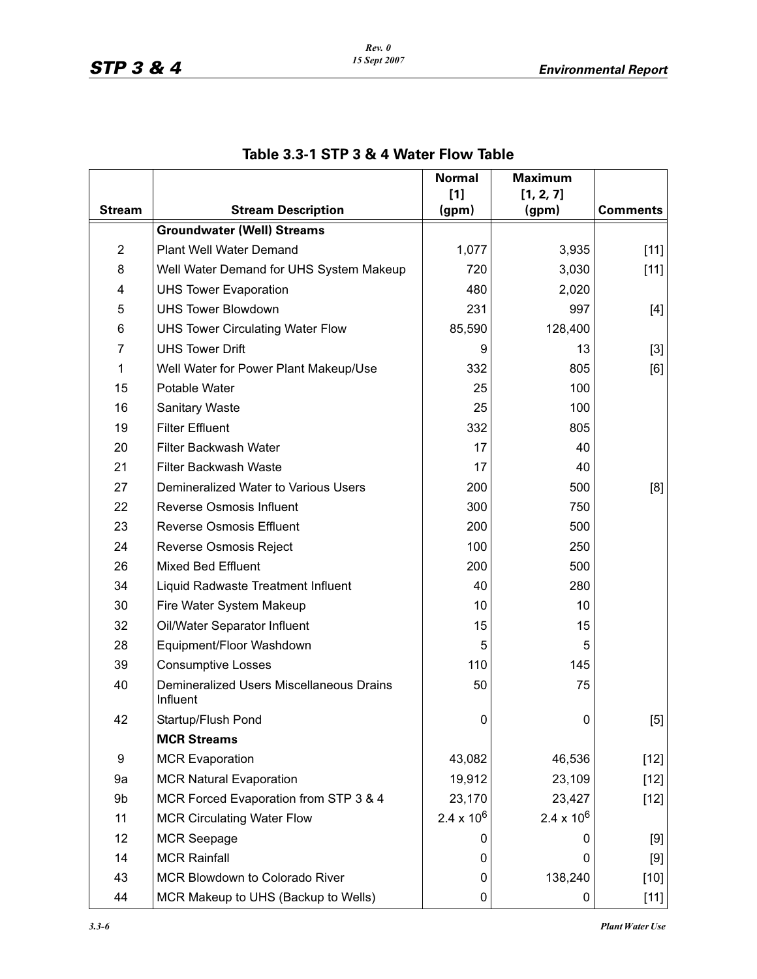|                |                                                             | <b>Normal</b><br>$[1]$ | <b>Maximum</b><br>[1, 2, 7] |                 |
|----------------|-------------------------------------------------------------|------------------------|-----------------------------|-----------------|
| <b>Stream</b>  | <b>Stream Description</b>                                   | (gpm)                  | (gpm)                       | <b>Comments</b> |
|                | <b>Groundwater (Well) Streams</b>                           |                        |                             |                 |
| $\overline{2}$ | <b>Plant Well Water Demand</b>                              | 1,077                  | 3,935                       | $[11]$          |
| 8              | Well Water Demand for UHS System Makeup                     | 720                    | 3,030                       | $[11]$          |
| 4              | <b>UHS Tower Evaporation</b>                                | 480                    | 2,020                       |                 |
| 5              | <b>UHS Tower Blowdown</b>                                   | 231                    | 997                         | [4]             |
| 6              | <b>UHS Tower Circulating Water Flow</b>                     | 85,590                 | 128,400                     |                 |
| 7              | <b>UHS Tower Drift</b>                                      | 9                      | 13                          | $[3]$           |
| 1              | Well Water for Power Plant Makeup/Use                       | 332                    | 805                         | [6]             |
| 15             | Potable Water                                               | 25                     | 100                         |                 |
| 16             | <b>Sanitary Waste</b>                                       | 25                     | 100                         |                 |
| 19             | <b>Filter Effluent</b>                                      | 332                    | 805                         |                 |
| 20             | <b>Filter Backwash Water</b>                                | 17                     | 40                          |                 |
| 21             | <b>Filter Backwash Waste</b>                                | 17                     | 40                          |                 |
| 27             | Demineralized Water to Various Users                        | 200                    | 500                         | [8]             |
| 22             | <b>Reverse Osmosis Influent</b>                             | 300                    | 750                         |                 |
| 23             | <b>Reverse Osmosis Effluent</b>                             | 200                    | 500                         |                 |
| 24             | Reverse Osmosis Reject                                      | 100                    | 250                         |                 |
| 26             | <b>Mixed Bed Effluent</b>                                   | 200                    | 500                         |                 |
| 34             | Liquid Radwaste Treatment Influent                          | 40                     | 280                         |                 |
| 30             | Fire Water System Makeup                                    | 10                     | 10                          |                 |
| 32             | Oil/Water Separator Influent                                | 15                     | 15                          |                 |
| 28             | Equipment/Floor Washdown                                    | 5                      | 5                           |                 |
| 39             | <b>Consumptive Losses</b>                                   | 110                    | 145                         |                 |
| 40             | <b>Demineralized Users Miscellaneous Drains</b><br>Influent | 50                     | 75                          |                 |
| 42             | Startup/Flush Pond                                          | 0                      | 0                           | [5]             |
|                | <b>MCR Streams</b>                                          |                        |                             |                 |
| 9              | <b>MCR Evaporation</b>                                      | 43,082                 | 46,536                      | $[12]$          |
| 9a             | <b>MCR Natural Evaporation</b>                              | 19,912                 | 23,109                      | $[12]$          |
| 9b             | MCR Forced Evaporation from STP 3 & 4                       | 23,170                 | 23,427                      | $[12]$          |
| 11             | <b>MCR Circulating Water Flow</b>                           | $2.4 \times 10^{6}$    | $2.4 \times 10^6$           |                 |
| 12             | <b>MCR Seepage</b>                                          | 0                      | 0                           | [9]             |
| 14             | <b>MCR Rainfall</b>                                         | 0                      | 0                           | $[9]$           |
| 43             | MCR Blowdown to Colorado River                              | 0                      | 138,240                     | $[10]$          |
| 44             | MCR Makeup to UHS (Backup to Wells)                         | 0                      | 0                           | $[11]$          |

# **Table 3.3-1 STP 3 & 4 Water Flow Table**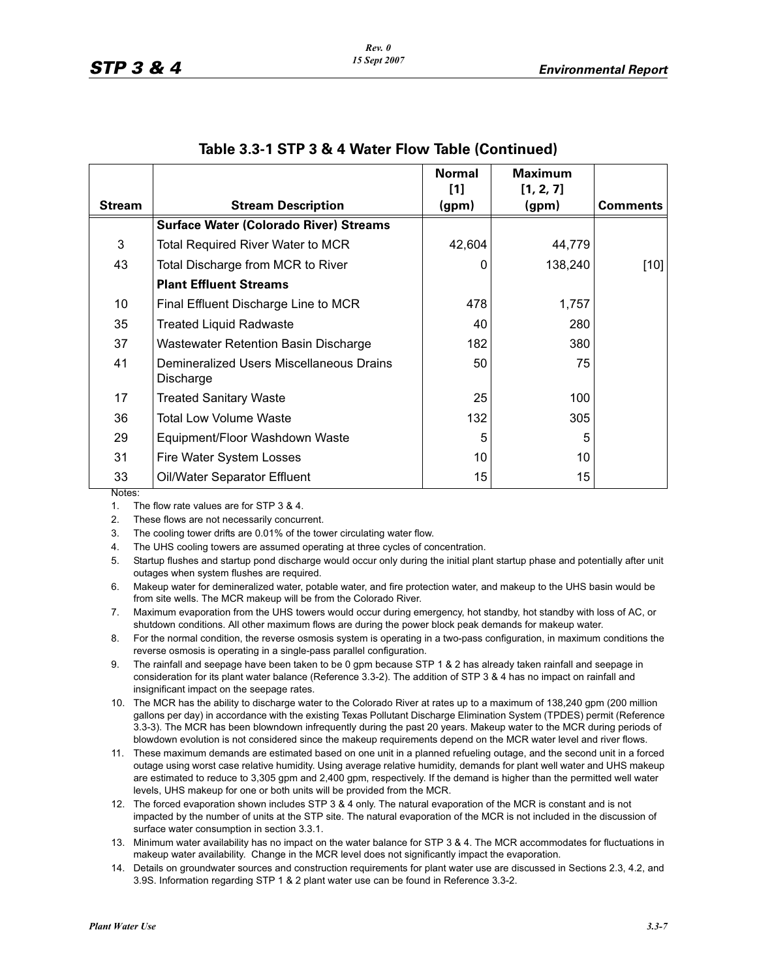|               |                                                       | <b>Normal</b>  | <b>Maximum</b>     |          |
|---------------|-------------------------------------------------------|----------------|--------------------|----------|
| <b>Stream</b> | <b>Stream Description</b>                             | $[1]$<br>(gpm) | [1, 2, 7]<br>(gpm) | Comments |
|               | <b>Surface Water (Colorado River) Streams</b>         |                |                    |          |
| 3             | <b>Total Required River Water to MCR</b>              | 42,604         | 44,779             |          |
| 43            | Total Discharge from MCR to River                     | 0              | 138,240            | [10]     |
|               | <b>Plant Effluent Streams</b>                         |                |                    |          |
| 10            | Final Effluent Discharge Line to MCR                  | 478            | 1,757              |          |
| 35            | <b>Treated Liquid Radwaste</b>                        | 40             | 280                |          |
| 37            | Wastewater Retention Basin Discharge                  | 182            | 380                |          |
| 41            | Demineralized Users Miscellaneous Drains<br>Discharge | 50             | 75                 |          |
| 17            | <b>Treated Sanitary Waste</b>                         | 25             | 100                |          |
| 36            | <b>Total Low Volume Waste</b>                         | 132            | 305                |          |
| 29            | Equipment/Floor Washdown Waste                        | 5              | 5                  |          |
| 31            | Fire Water System Losses                              | 10             | 10                 |          |
| 33            | Oil/Water Separator Effluent                          | 15             | 15                 |          |

#### **Table 3.3-1 STP 3 & 4 Water Flow Table (Continued)**

Notes:

1. The flow rate values are for STP 3 & 4.

2. These flows are not necessarily concurrent.

3. The cooling tower drifts are 0.01% of the tower circulating water flow.

4. The UHS cooling towers are assumed operating at three cycles of concentration.

5. Startup flushes and startup pond discharge would occur only during the initial plant startup phase and potentially after unit outages when system flushes are required.

7. Maximum evaporation from the UHS towers would occur during emergency, hot standby, hot standby with loss of AC, or shutdown conditions. All other maximum flows are during the power block peak demands for makeup water.

- 8. For the normal condition, the reverse osmosis system is operating in a two-pass configuration, in maximum conditions the reverse osmosis is operating in a single-pass parallel configuration.
- 9. The rainfall and seepage have been taken to be 0 gpm because STP 1 & 2 has already taken rainfall and seepage in consideration for its plant water balance (Reference 3.3-2). The addition of STP 3 & 4 has no impact on rainfall and insignificant impact on the seepage rates.
- 10. The MCR has the ability to discharge water to the Colorado River at rates up to a maximum of 138,240 gpm (200 million gallons per day) in accordance with the existing Texas Pollutant Discharge Elimination System (TPDES) permit (Reference 3.3-3). The MCR has been blowndown infrequently during the past 20 years. Makeup water to the MCR during periods of blowdown evolution is not considered since the makeup requirements depend on the MCR water level and river flows.
- 11. These maximum demands are estimated based on one unit in a planned refueling outage, and the second unit in a forced outage using worst case relative humidity. Using average relative humidity, demands for plant well water and UHS makeup are estimated to reduce to 3,305 gpm and 2,400 gpm, respectively. If the demand is higher than the permitted well water levels, UHS makeup for one or both units will be provided from the MCR.
- 12. The forced evaporation shown includes STP 3 & 4 only. The natural evaporation of the MCR is constant and is not impacted by the number of units at the STP site. The natural evaporation of the MCR is not included in the discussion of surface water consumption in section 3.3.1.
- 13. Minimum water availability has no impact on the water balance for STP 3 & 4. The MCR accommodates for fluctuations in makeup water availability. Change in the MCR level does not significantly impact the evaporation.
- 14. Details on groundwater sources and construction requirements for plant water use are discussed in Sections 2.3, 4.2, and 3.9S. Information regarding STP 1 & 2 plant water use can be found in Reference 3.3-2.

<sup>6.</sup> Makeup water for demineralized water, potable water, and fire protection water, and makeup to the UHS basin would be from site wells. The MCR makeup will be from the Colorado River.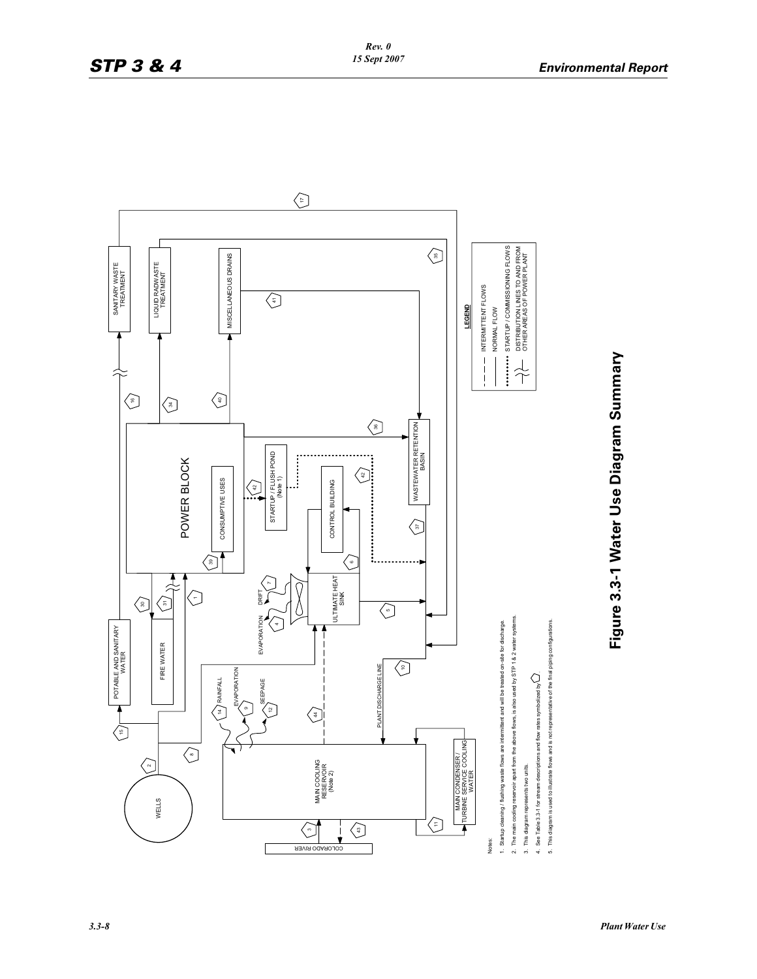

Figure 3.3-1 Water Use Diagram Summary **Figure 3.3-1 Water Use Diagram Summary**